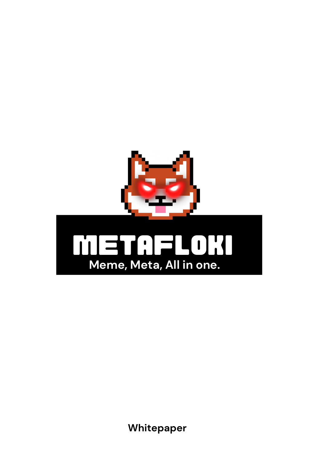

Whitepaper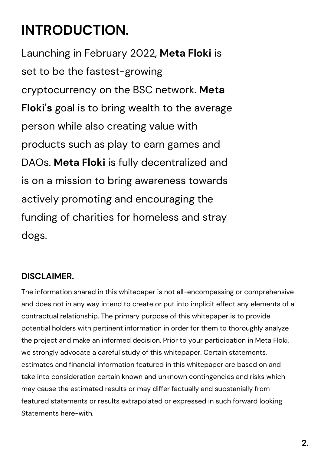## **INTRODUCTION.**

Launching in February 2022, **Meta Floki** is set to be the fastest-growing cryptocurrency on the BSC network. **Meta Floki's** goal is to bring wealth to the average person while also creating value with products such as play to earn games and DAOs. **Meta Floki** is fully decentralized and is on a mission to bring awareness towards actively promoting and encouraging the funding of charities for homeless and stray dogs.

#### **DISCLAIMER.**

The information shared in this whitepaper is not all-encompassing or comprehensive and does not in any way intend to create or put into implicit effect any elements of a contractual relationship. The primary purpose of this whitepaper is to provide potential holders with pertinent information in order for them to thoroughly analyze the project and make an informed decision. Prior to your participation in Meta Floki, we strongly advocate a careful study of this whitepaper. Certain statements, estimates and financial information featured in this whitepaper are based on and take into consideration certain known and unknown contingencies and risks which may cause the estimated results or may differ factually and substanially from featured statements or results extrapolated or expressed in such forward looking Statements here-with.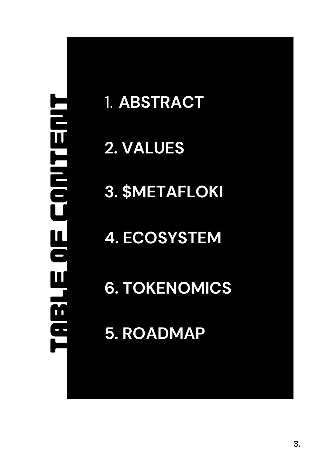# **TABLE OF CONTENT TRRLE OF CONTENT**

## 1. ABSTRACT

## **2 . V A L U E S**

**3 . \$ M E T A F L O KI**

**4. ECOSYSTEM**

**6. TOKENOMICS**

**5. ROADMAP**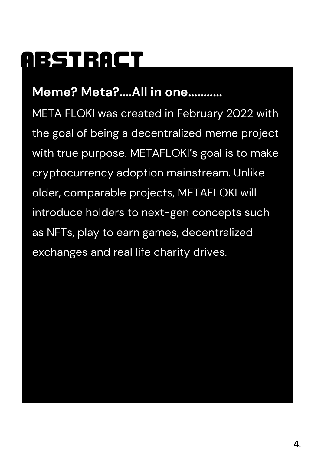# **ABSTRACT**

## **Meme? Meta?....All in one...........**

META FLOKI was created in February 2022 with the goal of being a decentralized meme project with true purpose. METAFLOKI's goal is to make cryptocurrency adoption mainstream. Unlike older, comparable projects, METAFLOKI will introduce holders to next-gen concepts such as NFTs, play to earn games, decentralized exchanges and real life charity drives.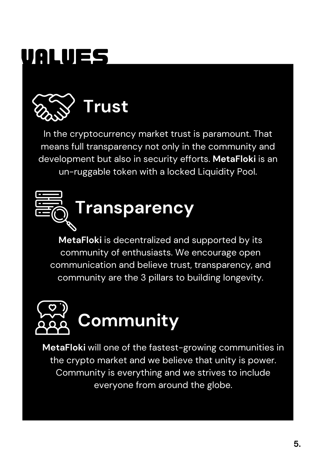# **values**



In the cryptocurrency market trust is paramount. That means full transparency not only in the community and development but also in security efforts. **MetaFloki** is an un-ruggable token with a locked Liquidity Pool.



**MetaFloki** is decentralized and supported by its community of enthusiasts. We encourage open communication and believe trust, transparency, and community are the 3 pillars to building longevity.



**MetaFloki** will one of the fastest-growing communities in the crypto market and we believe that unity is power. Community is everything and we strives to include everyone from around the globe.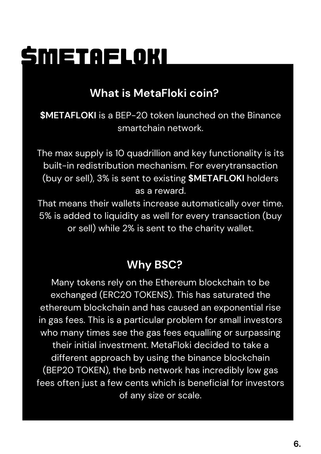# **\$metafloki**

#### **What is MetaFloki coin?**

**\$METAFLOKI** is a BEP-20 token launched on the Binance smartchain network.

The max supply is 10 quadrillion and key functionality is its built-in redistribution mechanism. For everytransaction (buy or sell), 3% is sent to existing **\$METAFLOKI** holders as a reward.

That means their wallets increase automatically over time. 5% is added to liquidity as well for every transaction (buy or sell) while 2% is sent to the charity wallet.

#### **Why BSC?**

Many tokens rely on the Ethereum blockchain to be exchanged (ERC20 TOKENS). This has saturated the ethereum blockchain and has caused an exponential rise in gas fees. This is a particular problem for small investors who many times see the gas fees equalling or surpassing their initial investment. MetaFloki decided to take a different approach by using the binance blockchain (BEP20 TOKEN), the bnb network has incredibly low gas fees often just a few cents which is beneficial for investors of any size or scale.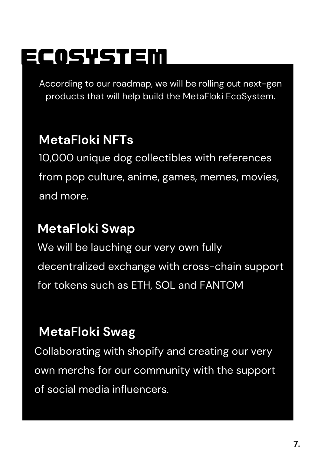# **ecosystem**

According to our roadmap, we will be rolling out next-gen products that will help build the MetaFloki EcoSystem.

## **MetaFloki NFTs**

10,000 unique dog collectibles with references from pop culture, anime, games, memes, movies, and more.

## **MetaFloki Swap**

We will be lauching our very own fully decentralized exchange with cross-chain support for tokens such as ETH, SOL and FANTOM

## **MetaFloki Swag**

Collaborating with shopify and creating our very own merchs for our community with the support of social media influencers.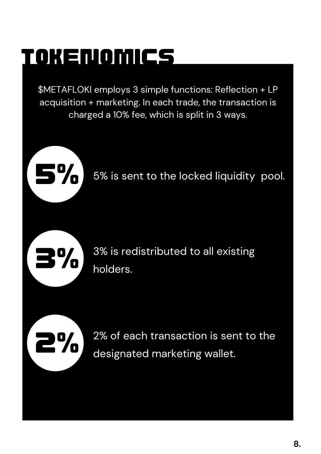# **tokenomics**

\$METAFLOKI employs 3 simple functions: Reflection + LP acquisition + marketing. In each trade, the transaction is charged a 10% fee, which is split in 3 ways.





**2%**

3% is redistributed to all existing holders.

2% of each transaction is sent to the designated marketing wallet.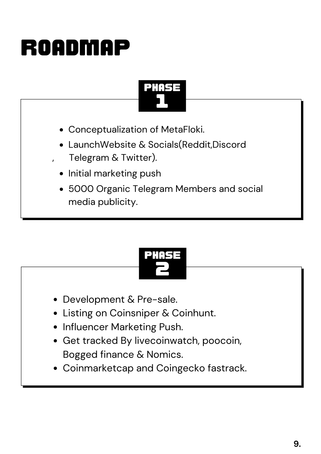# **roadmap**

## **1 Phase**

- Conceptualization of MetaFloki.
- LaunchWebsite & Socials(Reddit,Discord Telegram & Twitter).
- Initial marketing push
- 5000 Organic Telegram Members and social media publicity.



- Development & Pre-sale.
- Listing on Coinsniper & Coinhunt.
- Influencer Marketing Push.
- Get tracked By livecoinwatch, poocoin, Bogged finance & Nomics.
- Coinmarketcap and Coingecko fastrack.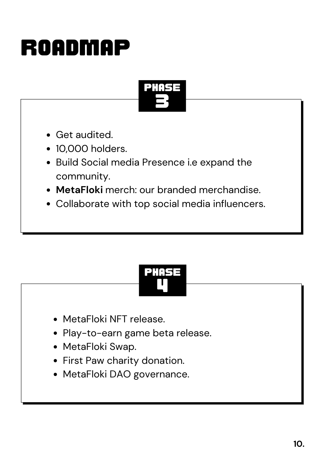# **roadmap**



- Get audited.
- 10,000 holders.
- Build Social media Presence i.e expand the community.
- **MetaFloki** merch: our branded merchandise.
- Collaborate with top social media influencers.

## **4 Phase**

- MetaFloki NFT release.
- Play-to-earn game beta release.
- MetaFloki Swap.
- First Paw charity donation.
- MetaFloki DAO governance.